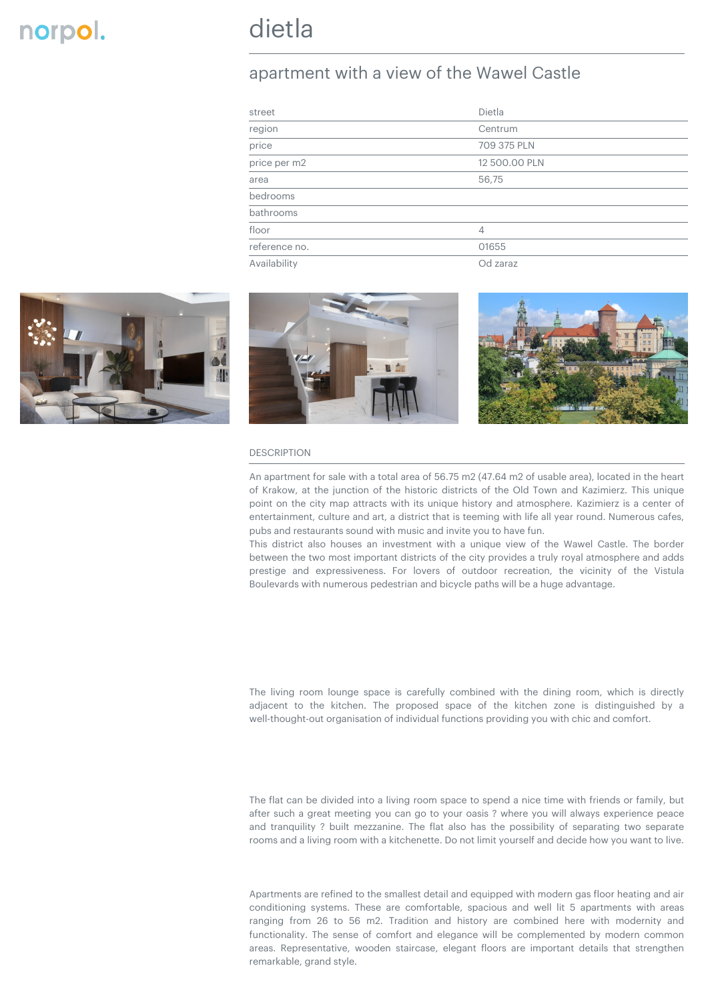## apartment with a view of the Wawel Castle

| street                    | Dietla        |  |
|---------------------------|---------------|--|
| region                    | Centrum       |  |
| $\overline{\text{price}}$ | 709 375 PLN   |  |
| price per m2              | 12 500.00 PLN |  |
| area                      | 56,75         |  |
| bedrooms                  |               |  |
| bathrooms                 |               |  |
| floor                     | 4             |  |
| reference no.             | 01655         |  |
| Availability              | Od zaraz      |  |







## DESCRIPTION

An apartment for sale with a total area of 56.75 m2 (47.64 m2 of usable area), located in the heart of Krakow, at the junction of the historic districts of the Old Town and Kazimierz. This unique point on the city map attracts with its unique history and atmosphere. Kazimierz is a center of entertainment, culture and art, a district that is teeming with life all year round. Numerous cafes, pubs and restaurants sound with music and invite you to have fun.

This district also houses an investment with a unique view of the Wawel Castle. The border between the two most important districts of the city provides a truly royal atmosphere and adds prestige and expressiveness. For lovers of outdoor recreation, the vicinity of the Vistula Boulevards with numerous pedestrian and bicycle paths will be a huge advantage.

The living room lounge space is carefully combined with the dining room, which is directly adjacent to the kitchen. The proposed space of the kitchen zone is distinguished by a well-thought-out organisation of individual functions providing you with chic and comfort.

The flat can be divided into a living room space to spend a nice time with friends or family, but after such a great meeting you can go to your oasis ? where you will always experience peace and tranquility ? built mezzanine. The flat also has the possibility of separating two separate rooms and a living room with a kitchenette. Do not limit yourself and decide how you want to live.

Apartments are refined to the smallest detail and equipped with modern gas floor heating and air conditioning systems. These are comfortable, spacious and well lit 5 apartments with areas ranging from 26 to 56 m2. Tradition and history are combined here with modernity and functionality. The sense of comfort and elegance will be complemented by modern common areas. Representative, wooden staircase, elegant floors are important details that strengthen remarkable, grand style.